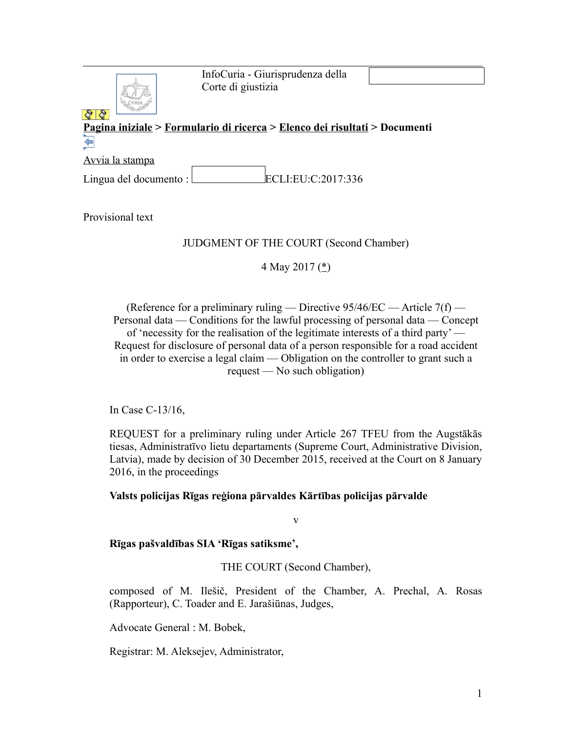InfoCuria - Giurisprudenza della Corte di giustizia



# **[Pagina iniziale](http://curia.europa.eu/jcms/jcms/j_6?PortalAction_x_000_userLang=it) > [Formulario di ricerca](http://curia.europa.eu/juris/document/document.jsf?doclang=EN&text=&pageIndex=0&part=1&mode=lst&docid=190322&occ=first&dir=&actionMethod=document%2Fdocument.xhtml%3AformController.resetAction&cid=480685) > [Elenco dei risultati](http://curia.europa.eu/juris/documents.jsf?pro=&lgrec=it&nat=or&oqp=&lg=&dates=&language=it&jur=C%2CT%2CF&cit=none%252CC%252CCJ%252CR%252C2008E%252C%252C%252C%252C%252C%252C%252C%252C%252C%252Ctrue%252Cfalse%252Cfalse&num=C-13%252F16&td=%3BALL&pcs=Oor&avg=&page=1&mat=or&jge=&for=&cid=480685) > Documenti**   $\Leftarrow$

[Avvia la stampa](http://curia.europa.eu/juris/document/document_print.jsf?doclang=EN&text=&pageIndex=0&part=1&mode=lst&docid=190322&occ=first&dir=&cid=480685)

Lingua del documento :  $\boxed{\text{ECLI:EU:C:2017:336}}$ 

Provisional text

# JUDGMENT OF THE COURT (Second Chamber)

4 May 2017 [\(\\*\)](http://curia.europa.eu/juris/document/document.jsf;jsessionid=9ea7d0f130d625c2f9db18be45bea72cc84aa9acb866.e34KaxiLc3eQc40LaxqMbN4Pax4Se0?text=&docid=190322&pageIndex=0&doclang=EN&mode=lst&dir=&occ=first&part=1&cid=480685#Footnote*)

(Reference for a preliminary ruling — Directive  $95/46/EC$  — Article  $7(f)$  — Personal data — Conditions for the lawful processing of personal data — Concept of 'necessity for the realisation of the legitimate interests of a third party' — Request for disclosure of personal data of a person responsible for a road accident in order to exercise a legal claim — Obligation on the controller to grant such a request — No such obligation)

In Case C-13/16,

REQUEST for a preliminary ruling under Article 267 TFEU from the Augstākās tiesas, Administratīvo lietu departaments (Supreme Court, Administrative Division, Latvia), made by decision of 30 December 2015, received at the Court on 8 January 2016, in the proceedings

**Valsts policijas Rīgas reģiona pārvaldes Kārtības policijas pārvalde**

v

**Rīgas pašvaldības SIA 'Rīgas satiksme',**

THE COURT (Second Chamber),

composed of M. Ilešič, President of the Chamber, A. Prechal, A. Rosas (Rapporteur), C. Toader and E. Jarašiūnas, Judges,

Advocate General : M. Bobek,

Registrar: M. Aleksejev, Administrator,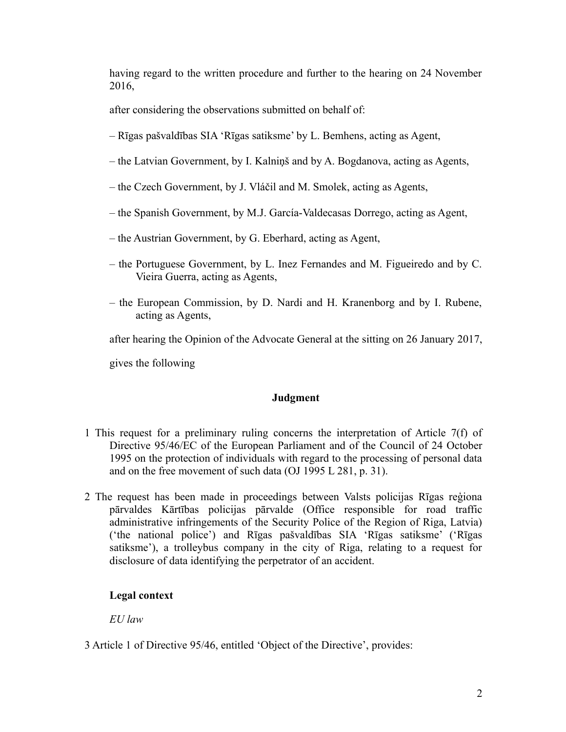having regard to the written procedure and further to the hearing on 24 November 2016,

after considering the observations submitted on behalf of:

- Rīgas pašvaldības SIA 'Rīgas satiksme' by L. Bemhens, acting as Agent,
- the Latvian Government, by I. Kalniņš and by A. Bogdanova, acting as Agents,
- the Czech Government, by J. Vláčil and M. Smolek, acting as Agents,
- the Spanish Government, by M.J. García-Valdecasas Dorrego, acting as Agent,
- the Austrian Government, by G. Eberhard, acting as Agent,
- the Portuguese Government, by L. Inez Fernandes and M. Figueiredo and by C. Vieira Guerra, acting as Agents,
- the European Commission, by D. Nardi and H. Kranenborg and by I. Rubene, acting as Agents,

after hearing the Opinion of the Advocate General at the sitting on 26 January 2017,

gives the following

## **Judgment**

- 1 This request for a preliminary ruling concerns the interpretation of Article 7(f) of Directive 95/46/EC of the European Parliament and of the Council of 24 October 1995 on the protection of individuals with regard to the processing of personal data and on the free movement of such data (OJ 1995 L 281, p. 31).
- 2 The request has been made in proceedings between Valsts policijas Rīgas reģiona pārvaldes Kārtības policijas pārvalde (Office responsible for road traffic administrative infringements of the Security Police of the Region of Riga, Latvia) ('the national police') and Rīgas pašvaldības SIA 'Rīgas satiksme' ('Rīgas satiksme'), a trolleybus company in the city of Riga, relating to a request for disclosure of data identifying the perpetrator of an accident.

## **Legal context**

*EU law*

3 Article 1 of Directive 95/46, entitled 'Object of the Directive', provides: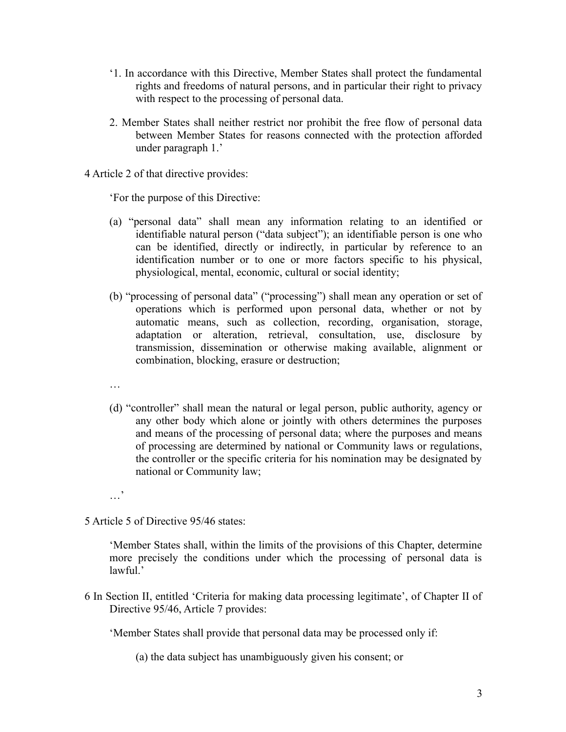- '1. In accordance with this Directive, Member States shall protect the fundamental rights and freedoms of natural persons, and in particular their right to privacy with respect to the processing of personal data.
- 2. Member States shall neither restrict nor prohibit the free flow of personal data between Member States for reasons connected with the protection afforded under paragraph 1.'
- 4 Article 2 of that directive provides:

'For the purpose of this Directive:

- (a) "personal data" shall mean any information relating to an identified or identifiable natural person ("data subject"); an identifiable person is one who can be identified, directly or indirectly, in particular by reference to an identification number or to one or more factors specific to his physical, physiological, mental, economic, cultural or social identity;
- (b) "processing of personal data" ("processing") shall mean any operation or set of operations which is performed upon personal data, whether or not by automatic means, such as collection, recording, organisation, storage, adaptation or alteration, retrieval, consultation, use, disclosure by transmission, dissemination or otherwise making available, alignment or combination, blocking, erasure or destruction;
- …
- (d) "controller" shall mean the natural or legal person, public authority, agency or any other body which alone or jointly with others determines the purposes and means of the processing of personal data; where the purposes and means of processing are determined by national or Community laws or regulations, the controller or the specific criteria for his nomination may be designated by national or Community law;
- …'
- 5 Article 5 of Directive 95/46 states:

'Member States shall, within the limits of the provisions of this Chapter, determine more precisely the conditions under which the processing of personal data is lawful.'

6 In Section II, entitled 'Criteria for making data processing legitimate', of Chapter II of Directive 95/46, Article 7 provides:

'Member States shall provide that personal data may be processed only if:

(a) the data subject has unambiguously given his consent; or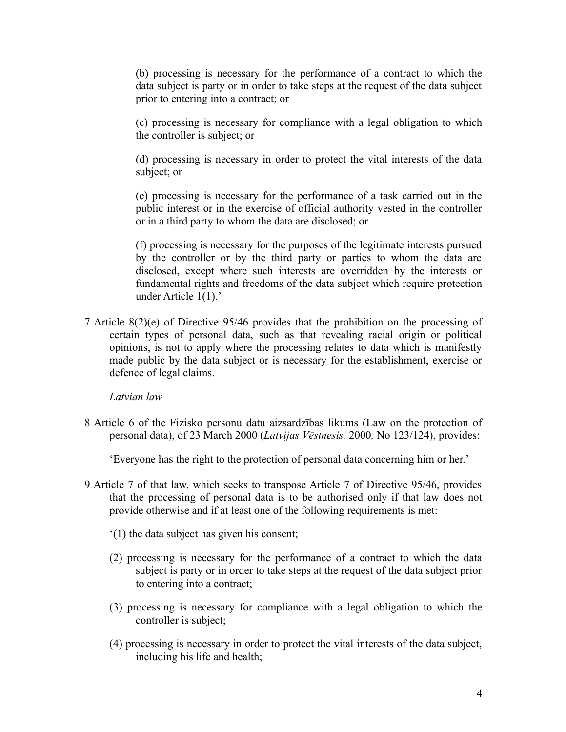(b) processing is necessary for the performance of a contract to which the data subject is party or in order to take steps at the request of the data subject prior to entering into a contract; or

(c) processing is necessary for compliance with a legal obligation to which the controller is subject; or

(d) processing is necessary in order to protect the vital interests of the data subject; or

(e) processing is necessary for the performance of a task carried out in the public interest or in the exercise of official authority vested in the controller or in a third party to whom the data are disclosed; or

(f) processing is necessary for the purposes of the legitimate interests pursued by the controller or by the third party or parties to whom the data are disclosed, except where such interests are overridden by the interests or fundamental rights and freedoms of the data subject which require protection under Article 1(1).'

7 Article 8(2)(e) of Directive 95/46 provides that the prohibition on the processing of certain types of personal data, such as that revealing racial origin or political opinions, is not to apply where the processing relates to data which is manifestly made public by the data subject or is necessary for the establishment, exercise or defence of legal claims.

*Latvian law*

8 Article 6 of the Fizisko personu datu aizsardzības likums (Law on the protection of personal data), of 23 March 2000 (*Latvijas Vēstnesis,* 2000*,* No 123/124), provides:

'Everyone has the right to the protection of personal data concerning him or her.'

- 9 Article 7 of that law, which seeks to transpose Article 7 of Directive 95/46, provides that the processing of personal data is to be authorised only if that law does not provide otherwise and if at least one of the following requirements is met:
	- '(1) the data subject has given his consent;
	- (2) processing is necessary for the performance of a contract to which the data subject is party or in order to take steps at the request of the data subject prior to entering into a contract;
	- (3) processing is necessary for compliance with a legal obligation to which the controller is subject;
	- (4) processing is necessary in order to protect the vital interests of the data subject, including his life and health;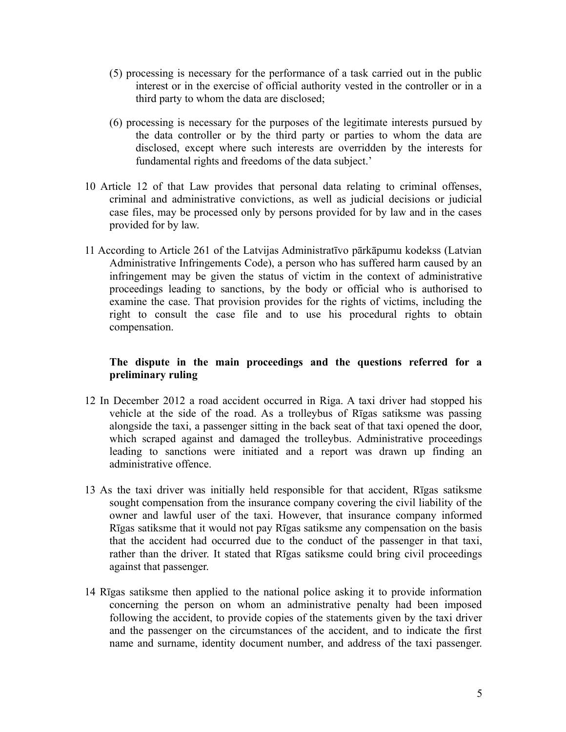- (5) processing is necessary for the performance of a task carried out in the public interest or in the exercise of official authority vested in the controller or in a third party to whom the data are disclosed;
- (6) processing is necessary for the purposes of the legitimate interests pursued by the data controller or by the third party or parties to whom the data are disclosed, except where such interests are overridden by the interests for fundamental rights and freedoms of the data subject.'
- 10 Article 12 of that Law provides that personal data relating to criminal offenses, criminal and administrative convictions, as well as judicial decisions or judicial case files, may be processed only by persons provided for by law and in the cases provided for by law.
- 11 According to Article 261 of the Latvijas Administratīvo pārkāpumu kodekss (Latvian Administrative Infringements Code), a person who has suffered harm caused by an infringement may be given the status of victim in the context of administrative proceedings leading to sanctions, by the body or official who is authorised to examine the case. That provision provides for the rights of victims, including the right to consult the case file and to use his procedural rights to obtain compensation.

## **The dispute in the main proceedings and the questions referred for a preliminary ruling**

- 12 In December 2012 a road accident occurred in Riga. A taxi driver had stopped his vehicle at the side of the road. As a trolleybus of Rīgas satiksme was passing alongside the taxi, a passenger sitting in the back seat of that taxi opened the door, which scraped against and damaged the trolleybus. Administrative proceedings leading to sanctions were initiated and a report was drawn up finding an administrative offence.
- 13 As the taxi driver was initially held responsible for that accident, Rīgas satiksme sought compensation from the insurance company covering the civil liability of the owner and lawful user of the taxi. However, that insurance company informed Rīgas satiksme that it would not pay Rīgas satiksme any compensation on the basis that the accident had occurred due to the conduct of the passenger in that taxi, rather than the driver. It stated that Rīgas satiksme could bring civil proceedings against that passenger.
- 14 Rīgas satiksme then applied to the national police asking it to provide information concerning the person on whom an administrative penalty had been imposed following the accident, to provide copies of the statements given by the taxi driver and the passenger on the circumstances of the accident, and to indicate the first name and surname, identity document number, and address of the taxi passenger.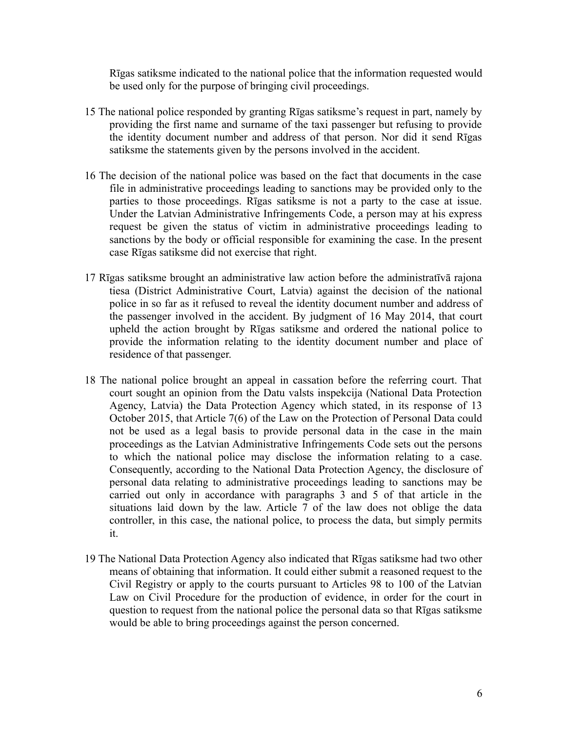Rīgas satiksme indicated to the national police that the information requested would be used only for the purpose of bringing civil proceedings.

- 15 The national police responded by granting Rīgas satiksme's request in part, namely by providing the first name and surname of the taxi passenger but refusing to provide the identity document number and address of that person. Nor did it send Rīgas satiksme the statements given by the persons involved in the accident.
- 16 The decision of the national police was based on the fact that documents in the case file in administrative proceedings leading to sanctions may be provided only to the parties to those proceedings. Rīgas satiksme is not a party to the case at issue. Under the Latvian Administrative Infringements Code, a person may at his express request be given the status of victim in administrative proceedings leading to sanctions by the body or official responsible for examining the case. In the present case Rīgas satiksme did not exercise that right.
- 17 Rīgas satiksme brought an administrative law action before the administratīvā rajona tiesa (District Administrative Court, Latvia) against the decision of the national police in so far as it refused to reveal the identity document number and address of the passenger involved in the accident. By judgment of 16 May 2014, that court upheld the action brought by Rīgas satiksme and ordered the national police to provide the information relating to the identity document number and place of residence of that passenger.
- 18 The national police brought an appeal in cassation before the referring court. That court sought an opinion from the Datu valsts inspekcija (National Data Protection Agency, Latvia) the Data Protection Agency which stated, in its response of 13 October 2015, that Article 7(6) of the Law on the Protection of Personal Data could not be used as a legal basis to provide personal data in the case in the main proceedings as the Latvian Administrative Infringements Code sets out the persons to which the national police may disclose the information relating to a case. Consequently, according to the National Data Protection Agency, the disclosure of personal data relating to administrative proceedings leading to sanctions may be carried out only in accordance with paragraphs 3 and 5 of that article in the situations laid down by the law. Article 7 of the law does not oblige the data controller, in this case, the national police, to process the data, but simply permits it.
- 19 The National Data Protection Agency also indicated that Rīgas satiksme had two other means of obtaining that information. It could either submit a reasoned request to the Civil Registry or apply to the courts pursuant to Articles 98 to 100 of the Latvian Law on Civil Procedure for the production of evidence, in order for the court in question to request from the national police the personal data so that Rīgas satiksme would be able to bring proceedings against the person concerned.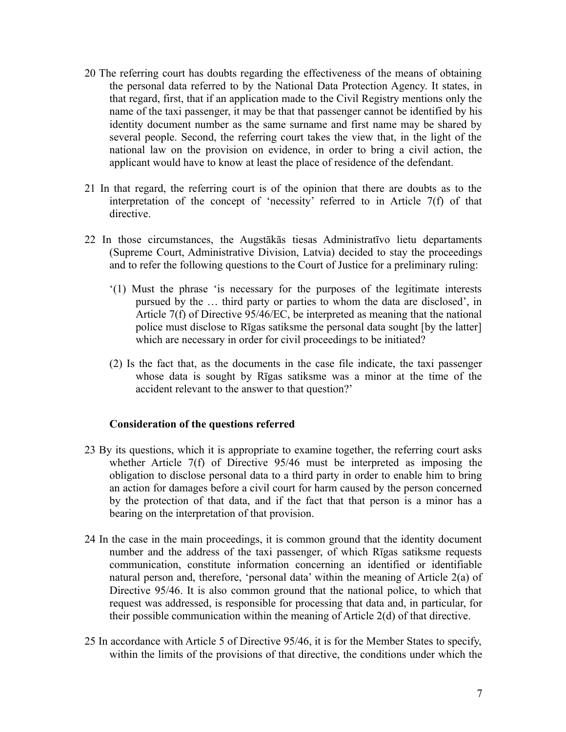- 20 The referring court has doubts regarding the effectiveness of the means of obtaining the personal data referred to by the National Data Protection Agency. It states, in that regard, first, that if an application made to the Civil Registry mentions only the name of the taxi passenger, it may be that that passenger cannot be identified by his identity document number as the same surname and first name may be shared by several people. Second, the referring court takes the view that, in the light of the national law on the provision on evidence, in order to bring a civil action, the applicant would have to know at least the place of residence of the defendant.
- 21 In that regard, the referring court is of the opinion that there are doubts as to the interpretation of the concept of 'necessity' referred to in Article 7(f) of that directive.
- 22 In those circumstances, the Augstākās tiesas Administratīvo lietu departaments (Supreme Court, Administrative Division, Latvia) decided to stay the proceedings and to refer the following questions to the Court of Justice for a preliminary ruling:
	- '(1) Must the phrase 'is necessary for the purposes of the legitimate interests pursued by the … third party or parties to whom the data are disclosed', in Article 7(f) of Directive 95/46/EC, be interpreted as meaning that the national police must disclose to Rīgas satiksme the personal data sought [by the latter] which are necessary in order for civil proceedings to be initiated?
	- (2) Is the fact that, as the documents in the case file indicate, the taxi passenger whose data is sought by Rīgas satiksme was a minor at the time of the accident relevant to the answer to that question?'

### **Consideration of the questions referred**

- 23 By its questions, which it is appropriate to examine together, the referring court asks whether Article 7(f) of Directive 95/46 must be interpreted as imposing the obligation to disclose personal data to a third party in order to enable him to bring an action for damages before a civil court for harm caused by the person concerned by the protection of that data, and if the fact that that person is a minor has a bearing on the interpretation of that provision.
- 24 In the case in the main proceedings, it is common ground that the identity document number and the address of the taxi passenger, of which Rīgas satiksme requests communication, constitute information concerning an identified or identifiable natural person and, therefore, 'personal data' within the meaning of Article 2(a) of Directive 95/46. It is also common ground that the national police, to which that request was addressed, is responsible for processing that data and, in particular, for their possible communication within the meaning of Article 2(d) of that directive.
- 25 In accordance with Article 5 of Directive 95/46, it is for the Member States to specify, within the limits of the provisions of that directive, the conditions under which the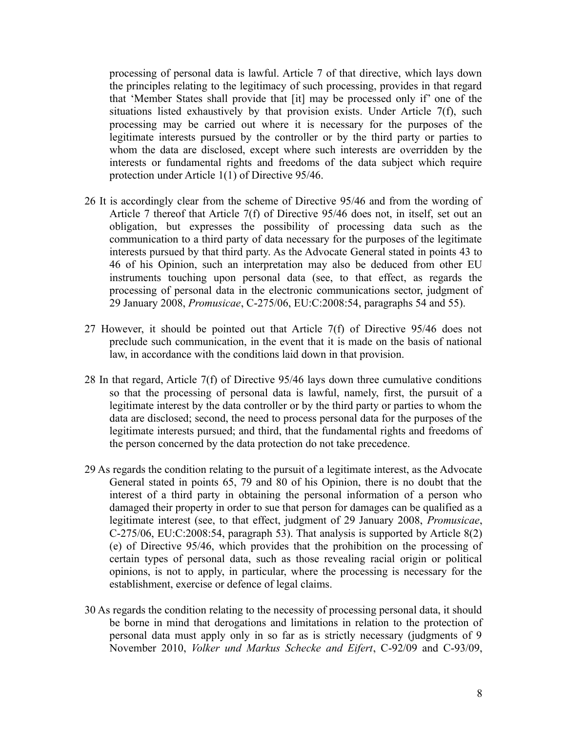processing of personal data is lawful. Article 7 of that directive, which lays down the principles relating to the legitimacy of such processing, provides in that regard that 'Member States shall provide that [it] may be processed only if' one of the situations listed exhaustively by that provision exists. Under Article 7(f), such processing may be carried out where it is necessary for the purposes of the legitimate interests pursued by the controller or by the third party or parties to whom the data are disclosed, except where such interests are overridden by the interests or fundamental rights and freedoms of the data subject which require protection under Article 1(1) of Directive 95/46.

- 26 It is accordingly clear from the scheme of Directive 95/46 and from the wording of Article 7 thereof that Article 7(f) of Directive 95/46 does not, in itself, set out an obligation, but expresses the possibility of processing data such as the communication to a third party of data necessary for the purposes of the legitimate interests pursued by that third party. As the Advocate General stated in points 43 to 46 of his Opinion, such an interpretation may also be deduced from other EU instruments touching upon personal data (see, to that effect, as regards the processing of personal data in the electronic communications sector, judgment of 29 January 2008, *Promusicae*, C-275/06, EU:C:2008:54, paragraphs 54 and 55).
- 27 However, it should be pointed out that Article 7(f) of Directive 95/46 does not preclude such communication, in the event that it is made on the basis of national law, in accordance with the conditions laid down in that provision.
- 28 In that regard, Article 7(f) of Directive 95/46 lays down three cumulative conditions so that the processing of personal data is lawful, namely, first, the pursuit of a legitimate interest by the data controller or by the third party or parties to whom the data are disclosed; second, the need to process personal data for the purposes of the legitimate interests pursued; and third, that the fundamental rights and freedoms of the person concerned by the data protection do not take precedence.
- 29 As regards the condition relating to the pursuit of a legitimate interest, as the Advocate General stated in points 65, 79 and 80 of his Opinion, there is no doubt that the interest of a third party in obtaining the personal information of a person who damaged their property in order to sue that person for damages can be qualified as a legitimate interest (see, to that effect, judgment of 29 January 2008, *Promusicae*, C-275/06, EU:C:2008:54, paragraph 53). That analysis is supported by Article 8(2) (e) of Directive 95/46, which provides that the prohibition on the processing of certain types of personal data, such as those revealing racial origin or political opinions, is not to apply, in particular, where the processing is necessary for the establishment, exercise or defence of legal claims.
- 30 As regards the condition relating to the necessity of processing personal data, it should be borne in mind that derogations and limitations in relation to the protection of personal data must apply only in so far as is strictly necessary (judgments of 9 November 2010, *Volker und Markus Schecke and Eifert*, C-92/09 and C-93/09,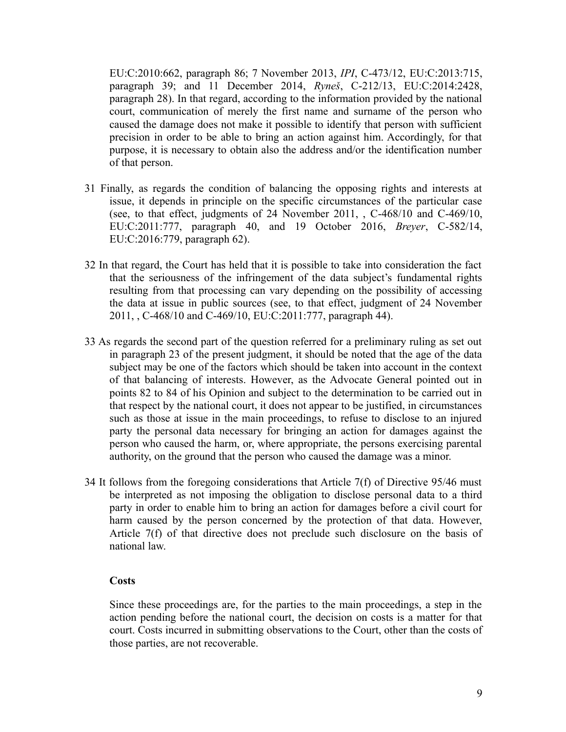EU:C:2010:662, paragraph 86; 7 November 2013, *IPI*, C-473/12, EU:C:2013:715, paragraph 39; and 11 December 2014, *Ryneš*, C-212/13, EU:C:2014:2428, paragraph 28). In that regard, according to the information provided by the national court, communication of merely the first name and surname of the person who caused the damage does not make it possible to identify that person with sufficient precision in order to be able to bring an action against him. Accordingly, for that purpose, it is necessary to obtain also the address and/or the identification number of that person.

- 31 Finally, as regards the condition of balancing the opposing rights and interests at issue, it depends in principle on the specific circumstances of the particular case (see, to that effect, judgments of 24 November 2011, , C-468/10 and C-469/10, EU:C:2011:777, paragraph 40, and 19 October 2016, *Breyer*, C-582/14, EU:C:2016:779, paragraph 62).
- 32 In that regard, the Court has held that it is possible to take into consideration the fact that the seriousness of the infringement of the data subject's fundamental rights resulting from that processing can vary depending on the possibility of accessing the data at issue in public sources (see, to that effect, judgment of 24 November 2011, , C-468/10 and C-469/10, EU:C:2011:777, paragraph 44).
- 33 As regards the second part of the question referred for a preliminary ruling as set out in paragraph 23 of the present judgment, it should be noted that the age of the data subject may be one of the factors which should be taken into account in the context of that balancing of interests. However, as the Advocate General pointed out in points 82 to 84 of his Opinion and subject to the determination to be carried out in that respect by the national court, it does not appear to be justified, in circumstances such as those at issue in the main proceedings, to refuse to disclose to an injured party the personal data necessary for bringing an action for damages against the person who caused the harm, or, where appropriate, the persons exercising parental authority, on the ground that the person who caused the damage was a minor.
- 34 It follows from the foregoing considerations that Article 7(f) of Directive 95/46 must be interpreted as not imposing the obligation to disclose personal data to a third party in order to enable him to bring an action for damages before a civil court for harm caused by the person concerned by the protection of that data. However, Article 7(f) of that directive does not preclude such disclosure on the basis of national law.

### **Costs**

Since these proceedings are, for the parties to the main proceedings, a step in the action pending before the national court, the decision on costs is a matter for that court. Costs incurred in submitting observations to the Court, other than the costs of those parties, are not recoverable.